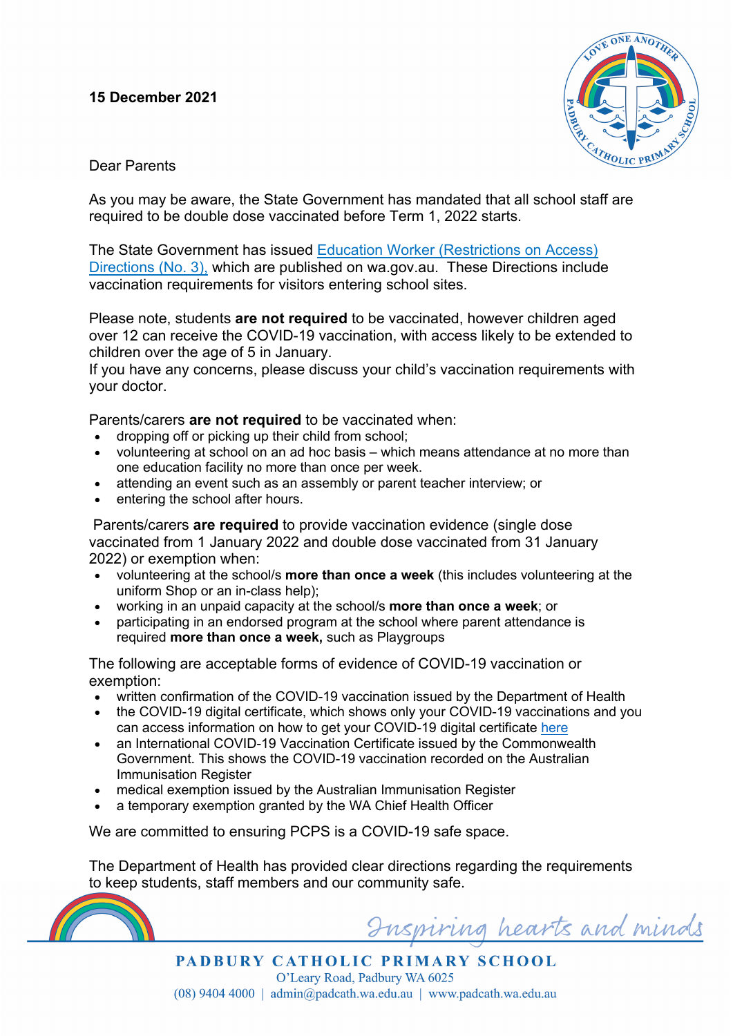## **15 December 2021**



Dear Parents

As you may be aware, the State Government has mandated that all school staff are required to be double dose vaccinated before Term 1, 2022 starts.

The State Government has issued Education Worker (Restrictions on Access) Directions (No. 3), which are published on wa.gov.au. These Directions include vaccination requirements for visitors entering school sites.

Please note, students **are not required** to be vaccinated, however children aged over 12 can receive the COVID-19 vaccination, with access likely to be extended to children over the age of 5 in January.

If you have any concerns, please discuss your child's vaccination requirements with your doctor.

Parents/carers **are not required** to be vaccinated when:

- dropping off or picking up their child from school;
- volunteering at school on an ad hoc basis which means attendance at no more than one education facility no more than once per week.
- attending an event such as an assembly or parent teacher interview; or
- entering the school after hours.

Parents/carers **are required** to provide vaccination evidence (single dose vaccinated from 1 January 2022 and double dose vaccinated from 31 January 2022) or exemption when:

- volunteering at the school/s **more than once a week** (this includes volunteering at the uniform Shop or an in-class help);
- working in an unpaid capacity at the school/s **more than once a week**; or
- participating in an endorsed program at the school where parent attendance is required **more than once a week,** such as Playgroups

The following are acceptable forms of evidence of COVID-19 vaccination or exemption:

- written confirmation of the COVID-19 vaccination issued by the Department of Health
- the COVID-19 digital certificate, which shows only your COVID-19 vaccinations and you can access information on how to get your COVID-19 digital certificate here
- an International COVID-19 Vaccination Certificate issued by the Commonwealth Government. This shows the COVID-19 vaccination recorded on the Australian Immunisation Register
- medical exemption issued by the Australian Immunisation Register
- a temporary exemption granted by the WA Chief Health Officer

We are committed to ensuring PCPS is a COVID-19 safe space.

The Department of Health has provided clear directions regarding the requirements to keep students, staff members and our community safe.



uspiring hearts and minds